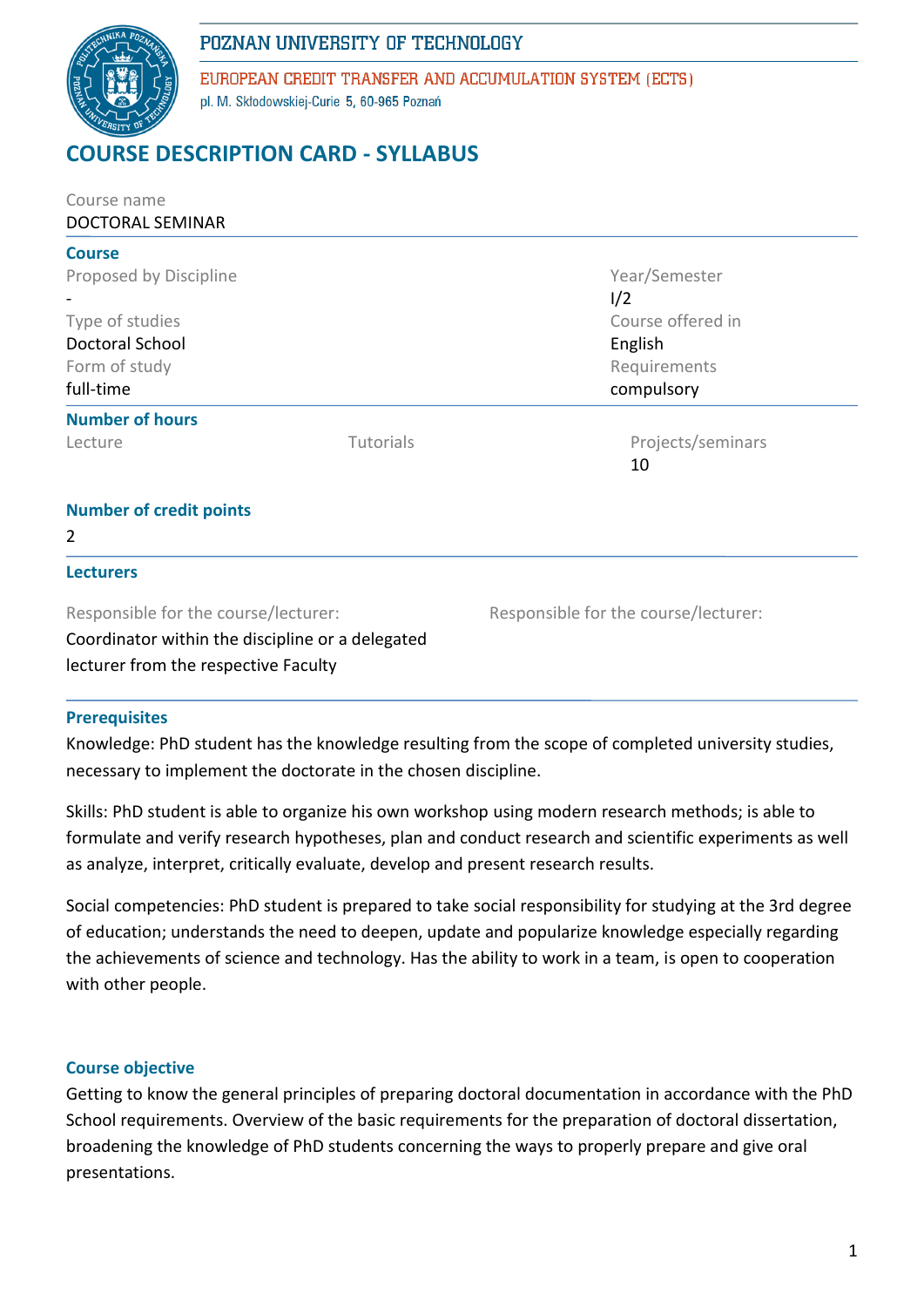# POZNAN UNIVERSITY OF TECHNOLOGY



EUROPEAN CREDIT TRANSFER AND ACCUMULATION SYSTEM (ECTS) pl. M. Skłodowskiej-Curie 5, 60-965 Poznań

# **RSE DESCRIPTION CARD - SYLLABUS**

| Course name                                      |           |                                      |  |  |
|--------------------------------------------------|-----------|--------------------------------------|--|--|
| DOCTORAL SEMINAR                                 |           |                                      |  |  |
| <b>Course</b>                                    |           |                                      |  |  |
| Proposed by Discipline                           |           | Year/Semester                        |  |  |
|                                                  |           | 1/2                                  |  |  |
| Type of studies                                  |           | Course offered in                    |  |  |
| Doctoral School                                  |           | English                              |  |  |
| Form of study                                    |           | Requirements                         |  |  |
| full-time                                        |           | compulsory                           |  |  |
| <b>Number of hours</b>                           |           |                                      |  |  |
| Lecture                                          | Tutorials | Projects/seminars                    |  |  |
|                                                  |           | 10                                   |  |  |
| <b>Number of credit points</b>                   |           |                                      |  |  |
| 2                                                |           |                                      |  |  |
| <b>Lecturers</b>                                 |           |                                      |  |  |
| Responsible for the course/lecturer:             |           | Responsible for the course/lecturer: |  |  |
| Coordinator within the discipline or a delegated |           |                                      |  |  |

lecturer from the respective Faculty

### **Prerequisites**

Knowledge: PhD student has the knowledge resulting from the scope of completed university studies, necessary to implement the doctorate in the chosen discipline.

Skills: PhD student is able to organize his own workshop using modern research methods; is able to formulate and verify research hypotheses, plan and conduct research and scientific experiments as well as analyze, interpret, critically evaluate, develop and present research results.

Social competencies: PhD student is prepared to take social responsibility for studying at the 3rd degree of education; understands the need to deepen, update and popularize knowledge especially regarding the achievements of science and technology. Has the ability to work in a team, is open to cooperation with other people.

### **Course objective**

Getting to know the general principles of preparing doctoral documentation in accordance with the PhD School requirements. Overview of the basic requirements for the preparation of doctoral dissertation, broadening the knowledge of PhD students concerning the ways to properly prepare and give oral presentations.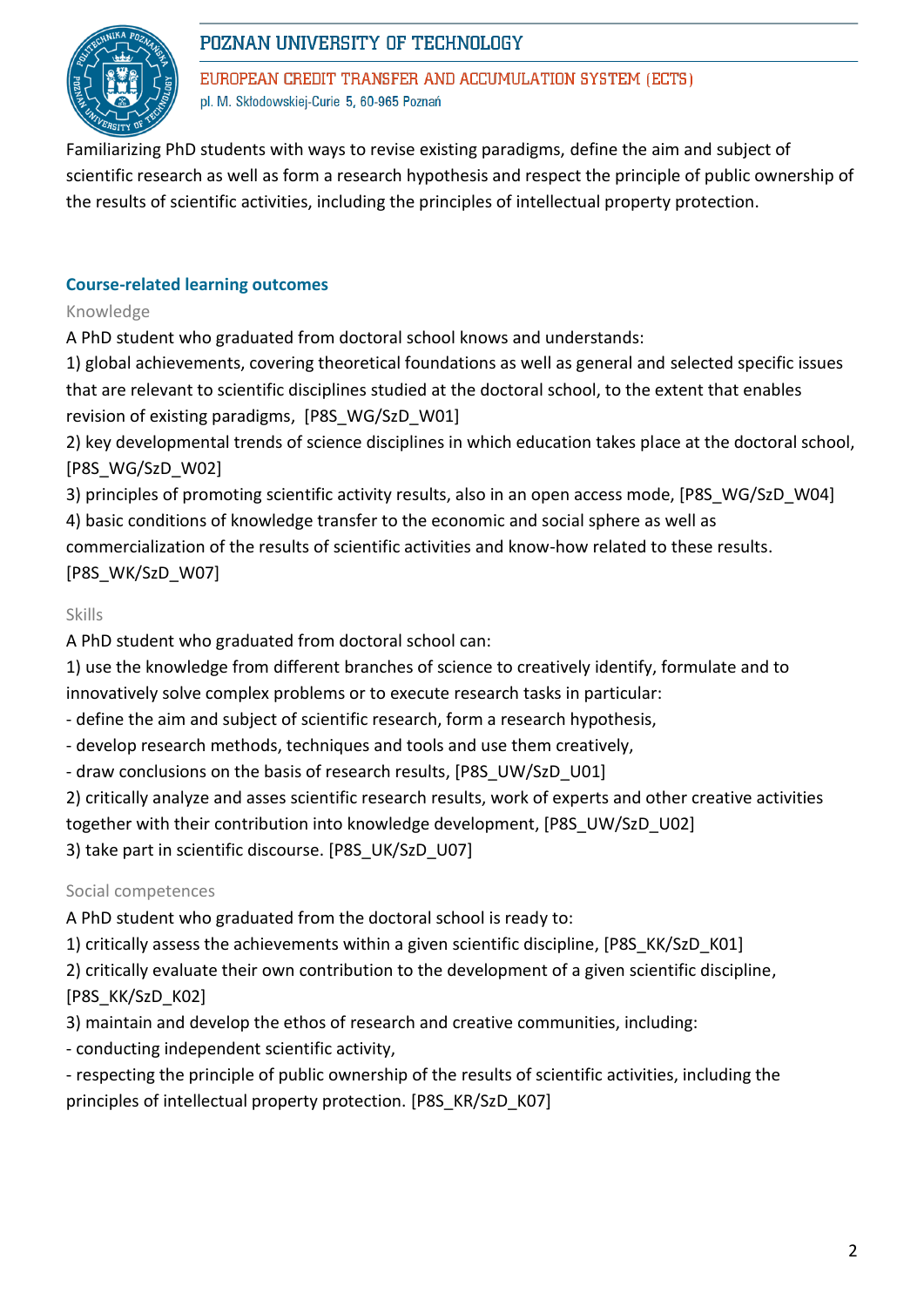

# POZNAN UNIVERSITY OF TECHNOLOGY

EUROPEAN CREDIT TRANSFER AND ACCUMULATION SYSTEM (ECTS) pl. M. Skłodowskiej-Curie 5, 60-965 Poznań

Familiarizing PhD students with ways to revise existing paradigms, define the aim and subject of scientific research as well as form a research hypothesis and respect the principle of public ownership of the results of scientific activities, including the principles of intellectual property protection.

## **Course-related learning outcomes**

Knowledge

A PhD student who graduated from doctoral school knows and understands:

1) global achievements, covering theoretical foundations as well as general and selected specific issues that are relevant to scientific disciplines studied at the doctoral school, to the extent that enables revision of existing paradigms, [P8S\_WG/SzD\_W01]

2) key developmental trends of science disciplines in which education takes place at the doctoral school, [P8S\_WG/SzD\_W02]

3) principles of promoting scientific activity results, also in an open access mode, [P8S\_WG/SzD\_W04]

4) basic conditions of knowledge transfer to the economic and social sphere as well as

commercialization of the results of scientific activities and know-how related to these results. [P8S\_WK/SzD\_W07]

### Skills

A PhD student who graduated from doctoral school can:

1) use the knowledge from different branches of science to creatively identify, formulate and to innovatively solve complex problems or to execute research tasks in particular:

- define the aim and subject of scientific research, form a research hypothesis,

- develop research methods, techniques and tools and use them creatively,
- draw conclusions on the basis of research results, [P8S\_UW/SzD\_U01]

2) critically analyze and asses scientific research results, work of experts and other creative activities together with their contribution into knowledge development, [P8S\_UW/SzD\_U02]

3) take part in scientific discourse. [P8S\_UK/SzD\_U07]

### Social competences

A PhD student who graduated from the doctoral school is ready to:

- 1) critically assess the achievements within a given scientific discipline, [P8S\_KK/SzD\_K01]
- 2) critically evaluate their own contribution to the development of a given scientific discipline, [P8S\_KK/SzD\_K02]
- 3) maintain and develop the ethos of research and creative communities, including:
- conducting independent scientific activity,
- respecting the principle of public ownership of the results of scientific activities, including the principles of intellectual property protection. [P8S\_KR/SzD\_K07]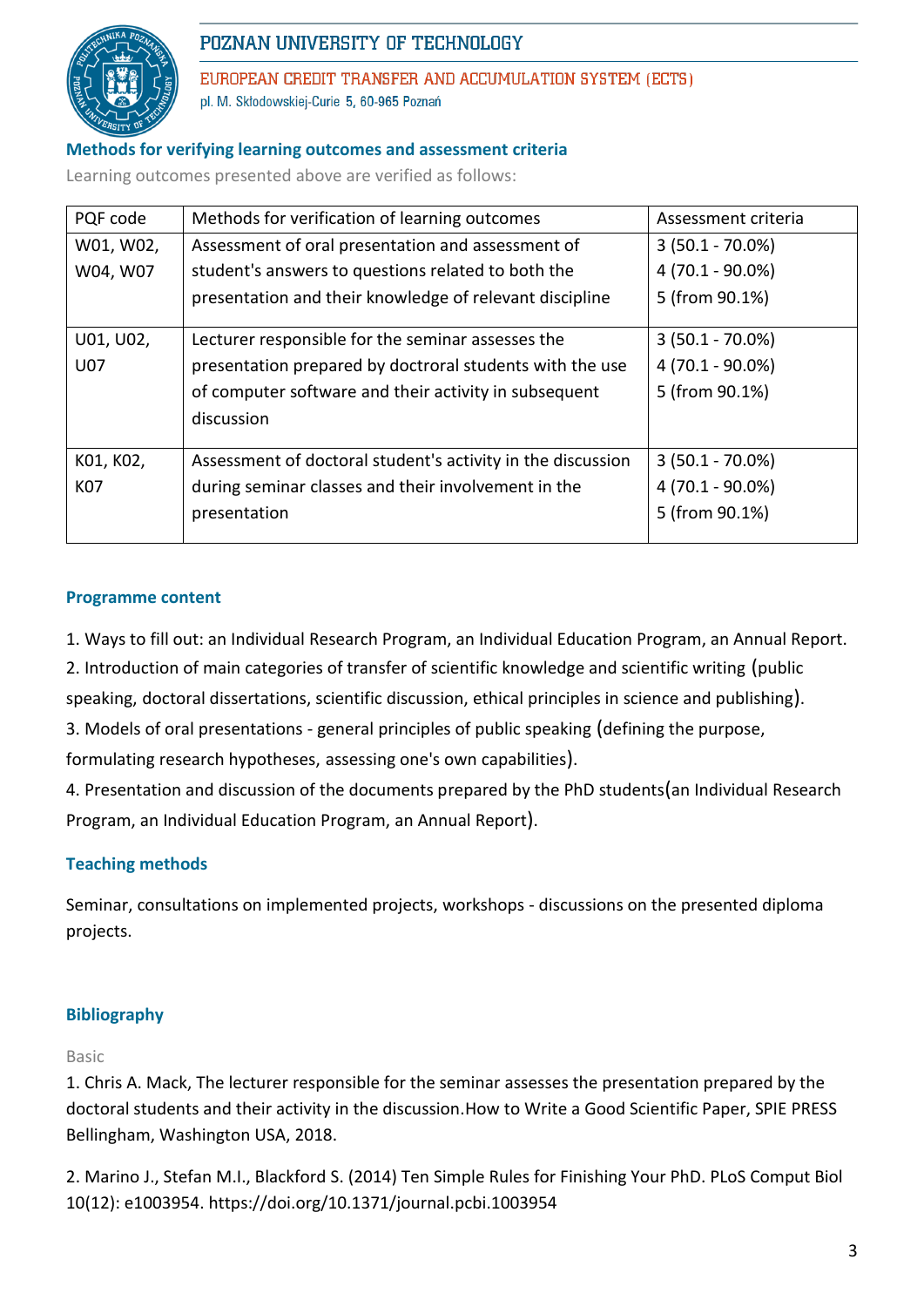

# POZNAN UNIVERSITY OF TECHNOLOGY

EUROPEAN CREDIT TRANSFER AND ACCUMULATION SYSTEM (ECTS) pl. M. Skłodowskiej-Curie 5, 60-965 Poznań

### **Methods for verifying learning outcomes and assessment criteria**

Learning outcomes presented above are verified as follows:

| PQF code  | Methods for verification of learning outcomes               | Assessment criteria |  |
|-----------|-------------------------------------------------------------|---------------------|--|
| W01, W02, | Assessment of oral presentation and assessment of           | $3(50.1 - 70.0\%)$  |  |
| W04, W07  | student's answers to questions related to both the          | 4 (70.1 - 90.0%)    |  |
|           | presentation and their knowledge of relevant discipline     | 5 (from 90.1%)      |  |
| U01, U02, | Lecturer responsible for the seminar assesses the           | $3(50.1 - 70.0\%)$  |  |
| U07       | presentation prepared by doctroral students with the use    | 4 (70.1 - 90.0%)    |  |
|           | of computer software and their activity in subsequent       | 5 (from 90.1%)      |  |
|           | discussion                                                  |                     |  |
| K01, K02, | Assessment of doctoral student's activity in the discussion | $3(50.1 - 70.0\%)$  |  |
| K07       | during seminar classes and their involvement in the         | 4 (70.1 - 90.0%)    |  |
|           | presentation                                                | 5 (from 90.1%)      |  |

#### **Programme content**

- 1. Ways to fill out: an Individual Research Program, an Individual Education Program, an Annual Report.
- 2. Introduction of main categories of transfer of scientific knowledge and scientific writing (public

speaking, doctoral dissertations, scientific discussion, ethical principles in science and publishing).

3. Models of oral presentations - general principles of public speaking (defining the purpose,

formulating research hypotheses, assessing one's own capabilities).

4. Presentation and discussion of the documents prepared by the PhD students(an Individual Research Program, an Individual Education Program, an Annual Report).

### **Teaching methods**

Seminar, consultations on implemented projects, workshops - discussions on the presented diploma projects.

### **Bibliography**

#### Basic

1. Chris A. Mack, The lecturer responsible for the seminar assesses the presentation prepared by the doctoral students and their activity in the discussion.How to Write a Good Scientific Paper, SPIE PRESS Bellingham, Washington USA, 2018.

2. Marino J., Stefan M.I., Blackford S. (2014) Ten Simple Rules for Finishing Your PhD. PLoS Comput Biol 10(12): e1003954. https://doi.org/10.1371/journal.pcbi.1003954